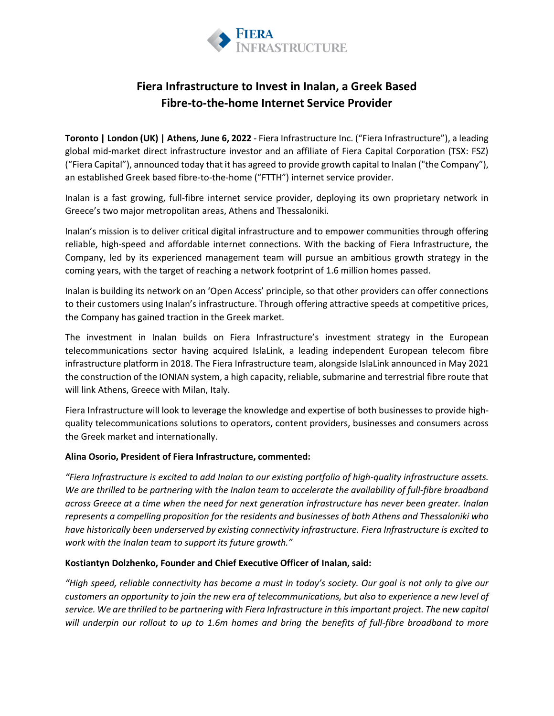

# **Fiera Infrastructure to Invest in Inalan, a Greek Based Fibre-to-the-home Internet Service Provider**

**Toronto | London (UK) | Athens, June 6, 2022** - Fiera Infrastructure Inc. ("Fiera Infrastructure"), a leading global mid-market direct infrastructure investor and an affiliate of Fiera Capital Corporation (TSX: FSZ) ("Fiera Capital"), announced today that it has agreed to provide growth capital to Inalan ("the Company"), an established Greek based fibre-to-the-home ("FTTH") internet service provider.

Inalan is a fast growing, full-fibre internet service provider, deploying its own proprietary network in Greece's two major metropolitan areas, Athens and Thessaloniki.

Inalan's mission is to deliver critical digital infrastructure and to empower communities through offering reliable, high-speed and affordable internet connections. With the backing of Fiera Infrastructure, the Company, led by its experienced management team will pursue an ambitious growth strategy in the coming years, with the target of reaching a network footprint of 1.6 million homes passed.

Inalan is building its network on an 'Open Access' principle, so that other providers can offer connections to their customers using Inalan's infrastructure. Through offering attractive speeds at competitive prices, the Company has gained traction in the Greek market*.*

The investment in Inalan builds on Fiera Infrastructure's investment strategy in the European telecommunications sector having acquired IslaLink, a leading independent European telecom fibre infrastructure platform in 2018. The Fiera Infrastructure team, alongside IslaLink announced in May 2021 the construction of the IONIAN system, a high capacity, reliable, submarine and terrestrial fibre route that will link Athens, Greece with Milan, Italy.

Fiera Infrastructure will look to leverage the knowledge and expertise of both businesses to provide highquality telecommunications solutions to operators, content providers, businesses and consumers across the Greek market and internationally.

#### **Alina Osorio, President of Fiera Infrastructure, commented:**

*"Fiera Infrastructure is excited to add Inalan to our existing portfolio of high-quality infrastructure assets. We are thrilled to be partnering with the Inalan team to accelerate the availability of full-fibre broadband across Greece at a time when the need for next generation infrastructure has never been greater. Inalan represents a compelling proposition for the residents and businesses of both Athens and Thessaloniki who have historically been underserved by existing connectivity infrastructure. Fiera Infrastructure is excited to work with the Inalan team to support its future growth."*

## **Kostiantyn Dolzhenko, Founder and Chief Executive Officer of Inalan, said:**

*"High speed, reliable connectivity has become a must in today's society. Our goal is not only to give our customers an opportunity to join the new era of telecommunications, but also to experience a new level of service. We are thrilled to be partnering with Fiera Infrastructure in this important project. The new capital will underpin our rollout to up to 1.6m homes and bring the benefits of full-fibre broadband to more*